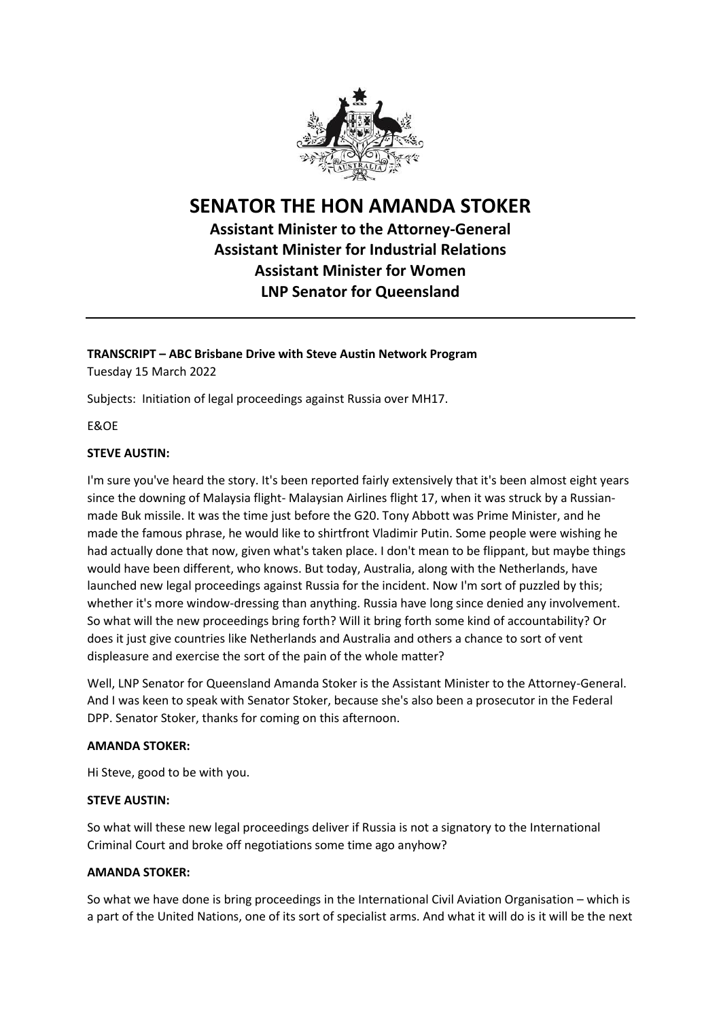

## **SENATOR THE HON AMANDA STOKER**

### **Assistant Minister to the Attorney-General Assistant Minister for Industrial Relations Assistant Minister for Women LNP Senator for Queensland**

# **TRANSCRIPT – ABC Brisbane Drive with Steve Austin Network Program**

Tuesday 15 March 2022

Subjects: Initiation of legal proceedings against Russia over MH17.

E&OE

#### **STEVE AUSTIN:**

I'm sure you've heard the story. It's been reported fairly extensively that it's been almost eight years since the downing of Malaysia flight- Malaysian Airlines flight 17, when it was struck by a Russianmade Buk missile. It was the time just before the G20. Tony Abbott was Prime Minister, and he made the famous phrase, he would like to shirtfront Vladimir Putin. Some people were wishing he had actually done that now, given what's taken place. I don't mean to be flippant, but maybe things would have been different, who knows. But today, Australia, along with the Netherlands, have launched new legal proceedings against Russia for the incident. Now I'm sort of puzzled by this; whether it's more window-dressing than anything. Russia have long since denied any involvement. So what will the new proceedings bring forth? Will it bring forth some kind of accountability? Or does it just give countries like Netherlands and Australia and others a chance to sort of vent displeasure and exercise the sort of the pain of the whole matter?

Well, LNP Senator for Queensland Amanda Stoker is the Assistant Minister to the Attorney-General. And I was keen to speak with Senator Stoker, because she's also been a prosecutor in the Federal DPP. Senator Stoker, thanks for coming on this afternoon.

#### **AMANDA STOKER:**

Hi Steve, good to be with you.

#### **STEVE AUSTIN:**

So what will these new legal proceedings deliver if Russia is not a signatory to the International Criminal Court and broke off negotiations some time ago anyhow?

#### **AMANDA STOKER:**

So what we have done is bring proceedings in the International Civil Aviation Organisation – which is a part of the United Nations, one of its sort of specialist arms. And what it will do is it will be the next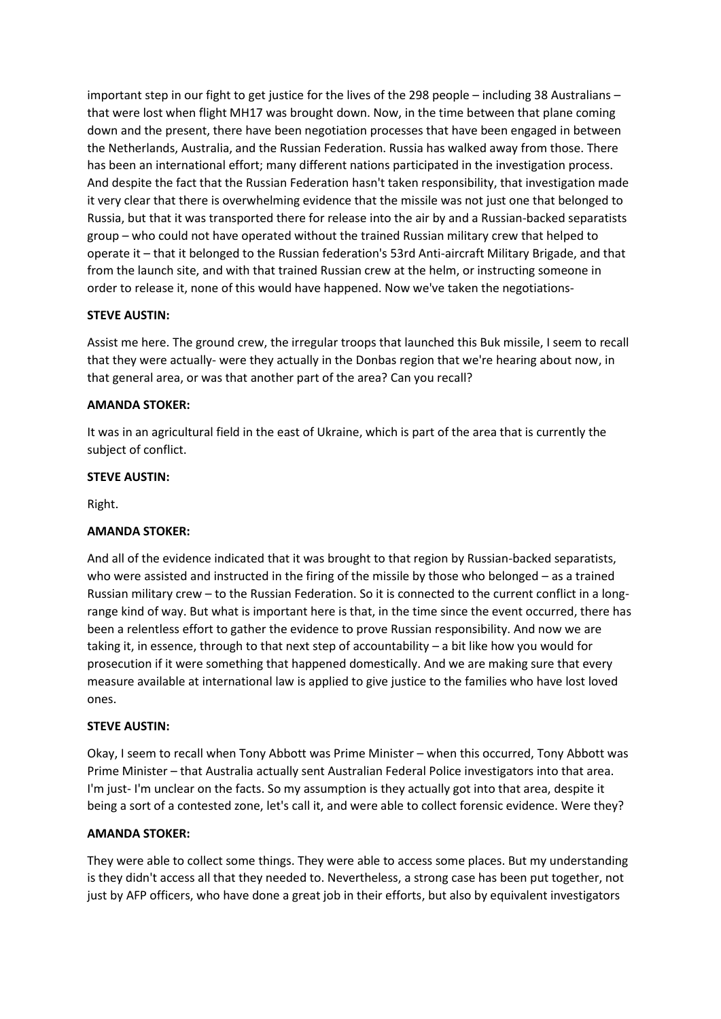important step in our fight to get justice for the lives of the 298 people – including 38 Australians – that were lost when flight MH17 was brought down. Now, in the time between that plane coming down and the present, there have been negotiation processes that have been engaged in between the Netherlands, Australia, and the Russian Federation. Russia has walked away from those. There has been an international effort; many different nations participated in the investigation process. And despite the fact that the Russian Federation hasn't taken responsibility, that investigation made it very clear that there is overwhelming evidence that the missile was not just one that belonged to Russia, but that it was transported there for release into the air by and a Russian-backed separatists group – who could not have operated without the trained Russian military crew that helped to operate it – that it belonged to the Russian federation's 53rd Anti-aircraft Military Brigade, and that from the launch site, and with that trained Russian crew at the helm, or instructing someone in order to release it, none of this would have happened. Now we've taken the negotiations-

#### **STEVE AUSTIN:**

Assist me here. The ground crew, the irregular troops that launched this Buk missile, I seem to recall that they were actually- were they actually in the Donbas region that we're hearing about now, in that general area, or was that another part of the area? Can you recall?

#### **AMANDA STOKER:**

It was in an agricultural field in the east of Ukraine, which is part of the area that is currently the subject of conflict.

#### **STEVE AUSTIN:**

Right.

#### **AMANDA STOKER:**

And all of the evidence indicated that it was brought to that region by Russian-backed separatists, who were assisted and instructed in the firing of the missile by those who belonged – as a trained Russian military crew – to the Russian Federation. So it is connected to the current conflict in a longrange kind of way. But what is important here is that, in the time since the event occurred, there has been a relentless effort to gather the evidence to prove Russian responsibility. And now we are taking it, in essence, through to that next step of accountability – a bit like how you would for prosecution if it were something that happened domestically. And we are making sure that every measure available at international law is applied to give justice to the families who have lost loved ones.

#### **STEVE AUSTIN:**

Okay, I seem to recall when Tony Abbott was Prime Minister – when this occurred, Tony Abbott was Prime Minister – that Australia actually sent Australian Federal Police investigators into that area. I'm just- I'm unclear on the facts. So my assumption is they actually got into that area, despite it being a sort of a contested zone, let's call it, and were able to collect forensic evidence. Were they?

#### **AMANDA STOKER:**

They were able to collect some things. They were able to access some places. But my understanding is they didn't access all that they needed to. Nevertheless, a strong case has been put together, not just by AFP officers, who have done a great job in their efforts, but also by equivalent investigators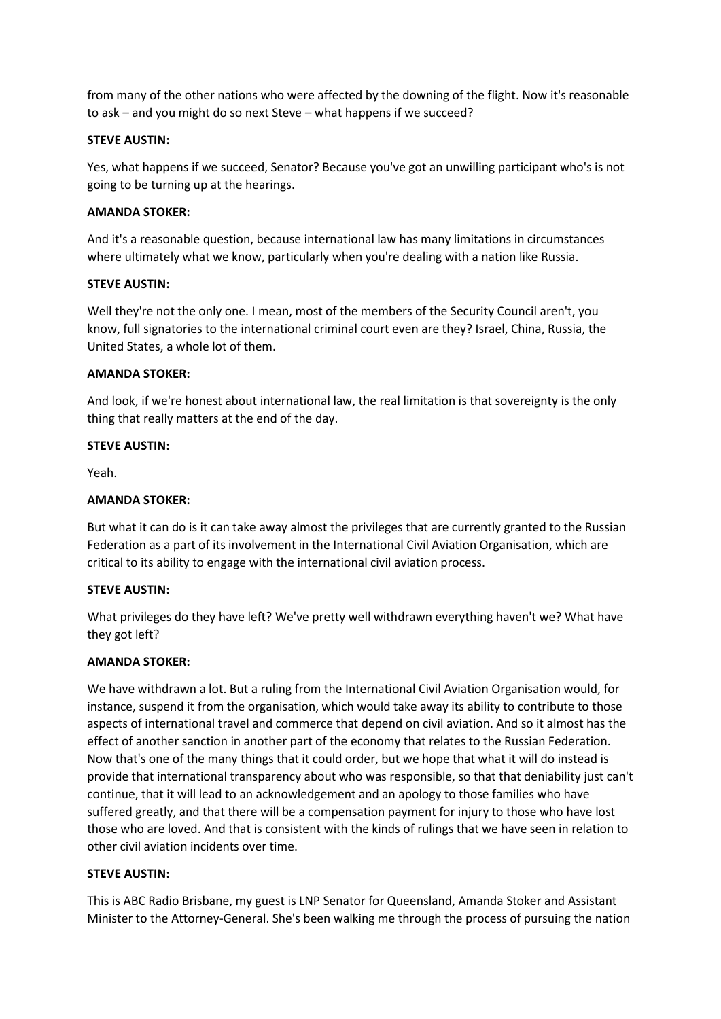from many of the other nations who were affected by the downing of the flight. Now it's reasonable to ask – and you might do so next Steve – what happens if we succeed?

#### **STEVE AUSTIN:**

Yes, what happens if we succeed, Senator? Because you've got an unwilling participant who's is not going to be turning up at the hearings.

#### **AMANDA STOKER:**

And it's a reasonable question, because international law has many limitations in circumstances where ultimately what we know, particularly when you're dealing with a nation like Russia.

#### **STEVE AUSTIN:**

Well they're not the only one. I mean, most of the members of the Security Council aren't, you know, full signatories to the international criminal court even are they? Israel, China, Russia, the United States, a whole lot of them.

#### **AMANDA STOKER:**

And look, if we're honest about international law, the real limitation is that sovereignty is the only thing that really matters at the end of the day.

#### **STEVE AUSTIN:**

Yeah.

#### **AMANDA STOKER:**

But what it can do is it can take away almost the privileges that are currently granted to the Russian Federation as a part of its involvement in the International Civil Aviation Organisation, which are critical to its ability to engage with the international civil aviation process.

#### **STEVE AUSTIN:**

What privileges do they have left? We've pretty well withdrawn everything haven't we? What have they got left?

#### **AMANDA STOKER:**

We have withdrawn a lot. But a ruling from the International Civil Aviation Organisation would, for instance, suspend it from the organisation, which would take away its ability to contribute to those aspects of international travel and commerce that depend on civil aviation. And so it almost has the effect of another sanction in another part of the economy that relates to the Russian Federation. Now that's one of the many things that it could order, but we hope that what it will do instead is provide that international transparency about who was responsible, so that that deniability just can't continue, that it will lead to an acknowledgement and an apology to those families who have suffered greatly, and that there will be a compensation payment for injury to those who have lost those who are loved. And that is consistent with the kinds of rulings that we have seen in relation to other civil aviation incidents over time.

#### **STEVE AUSTIN:**

This is ABC Radio Brisbane, my guest is LNP Senator for Queensland, Amanda Stoker and Assistant Minister to the Attorney-General. She's been walking me through the process of pursuing the nation